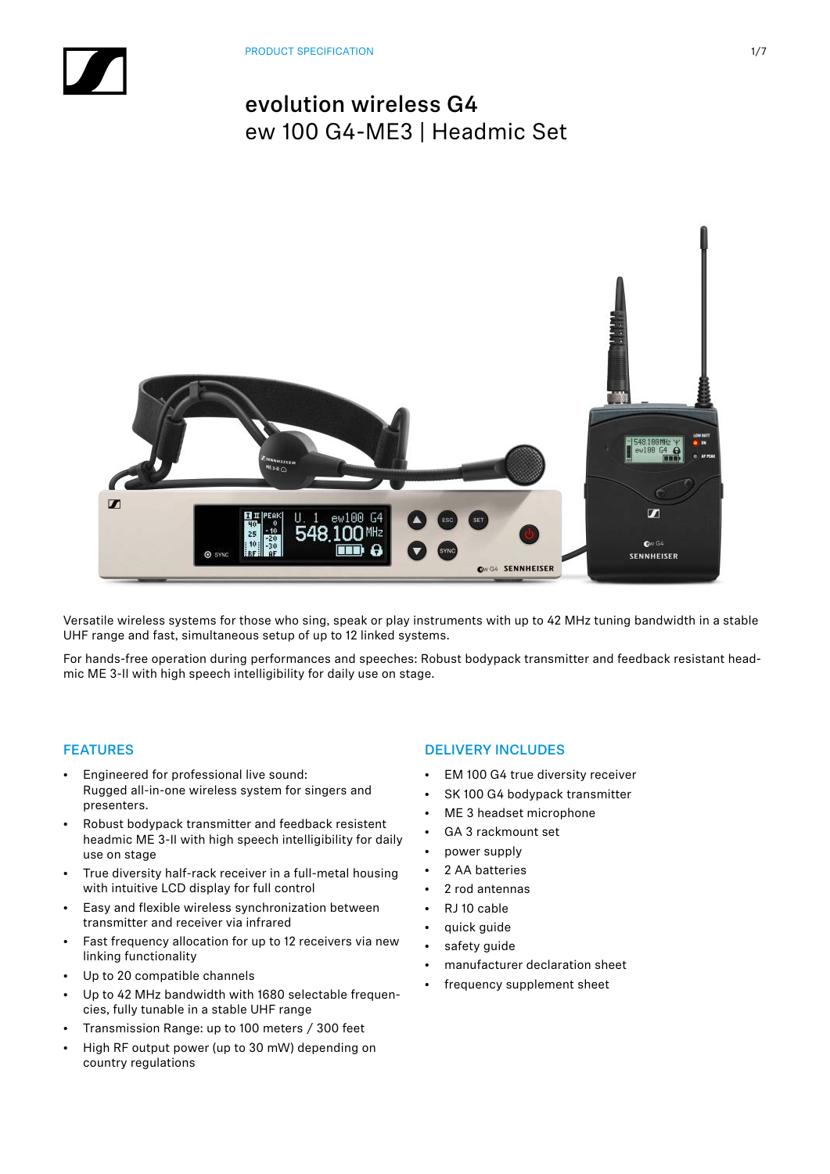

Versatile wireless systems for those who sing, speak or play instruments with up to 42 MHz tuning bandwidth in a stable UHF range and fast, simultaneous setup of up to 12 linked systems.

For hands-free operation during performances and speeches: Robust bodypack transmitter and feedback resistant headmic ME 3-II with high speech intelligibility for daily use on stage.

### FEATURES

- Engineered for professional live sound: Rugged all-in-one wireless system for singers and presenters.
- Robust bodypack transmitter and feedback resistent headmic ME 3-II with high speech intelligibility for daily use on stage
- True diversity half-rack receiver in a full-metal housing with intuitive LCD display for full control
- Easy and flexible wireless synchronization between transmitter and receiver via infrared
- Fast frequency allocation for up to 12 receivers via new linking functionality
- Up to 20 compatible channels
- Up to 42 MHz bandwidth with 1680 selectable frequencies, fully tunable in a stable UHF range
- Transmission Range: up to 100 meters / 300 feet
- High RF output power (up to 30 mW) depending on country regulations

### DELIVERY INCLUDES

- EM 100 G4 true diversity receiver
- SK 100 G4 bodypack transmitter
- ME 3 headset microphone
- GA 3 rackmount set
- power supply
- 2 AA batteries
- 2 rod antennas
- RJ 10 cable
- quick guide
- safety guide
- manufacturer declaration sheet
- frequency supplement sheet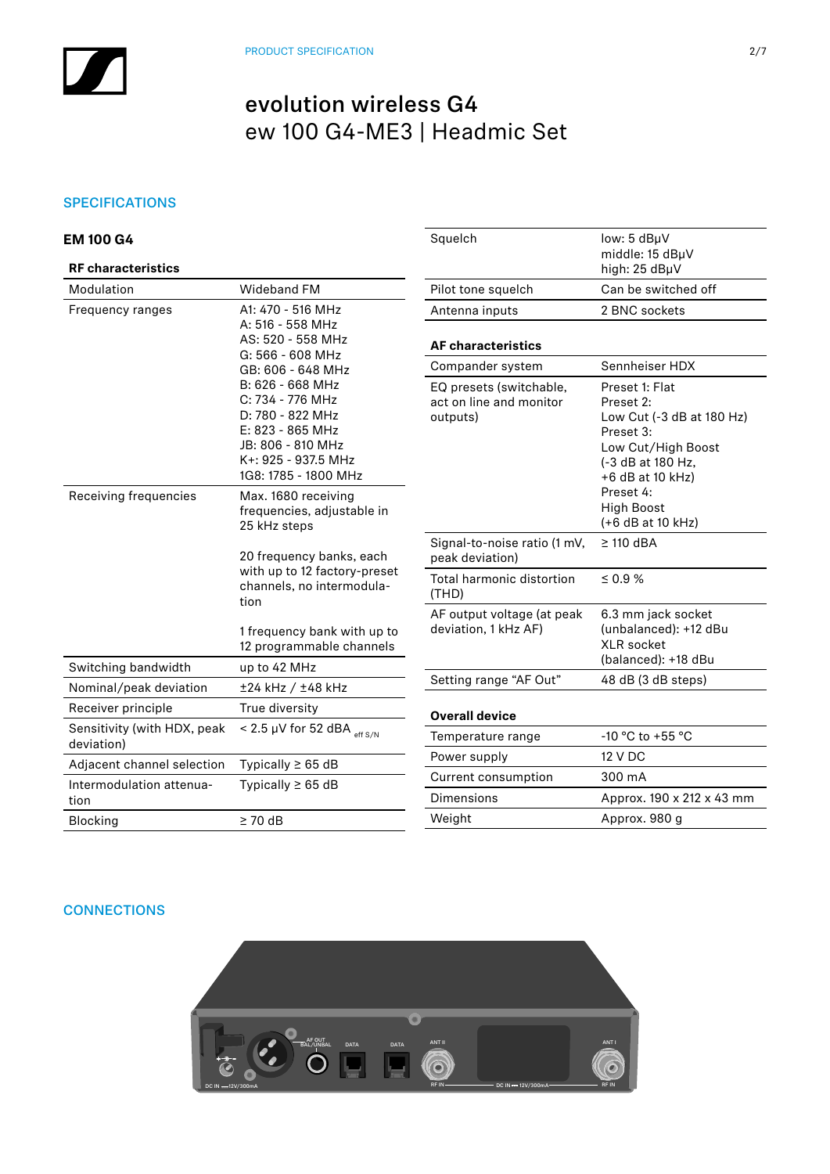### **SPECIFICATIONS**

| <b>EM 100 G4</b><br><b>RF</b> characteristics |                                                                                                                                                  | Squelch                                                        | low: 5 dBµV<br>middle: 15 dBµV<br>high: 25 dBµV                                                                                        |  |
|-----------------------------------------------|--------------------------------------------------------------------------------------------------------------------------------------------------|----------------------------------------------------------------|----------------------------------------------------------------------------------------------------------------------------------------|--|
| Modulation                                    | Wideband FM                                                                                                                                      | Pilot tone squelch                                             | Can be switched off                                                                                                                    |  |
| Frequency ranges                              | A1: 470 - 516 MHz                                                                                                                                | Antenna inputs                                                 | 2 BNC sockets                                                                                                                          |  |
|                                               | A: 516 - 558 MHz<br>AS: 520 - 558 MHz<br>G: 566 - 608 MHz                                                                                        | <b>AF characteristics</b>                                      |                                                                                                                                        |  |
|                                               | GB: 606 - 648 MHz                                                                                                                                | Compander system                                               | Sennheiser HDX                                                                                                                         |  |
|                                               | B: 626 - 668 MHz<br>C: 734 - 776 MHz<br>D: 780 - 822 MHz<br>E: 823 - 865 MHz<br>JB: 806 - 810 MHz<br>K+: 925 - 937.5 MHz<br>1G8: 1785 - 1800 MHz | EQ presets (switchable,<br>act on line and monitor<br>outputs) | Preset 1: Flat<br>Preset 2:<br>Low Cut (-3 dB at 180 Hz)<br>Preset 3:<br>Low Cut/High Boost<br>(-3 dB at 180 Hz,<br>$+6$ dB at 10 kHz) |  |
| Receiving frequencies                         | Max. 1680 receiving<br>frequencies, adjustable in<br>25 kHz steps                                                                                |                                                                | Preset 4:<br><b>High Boost</b><br>(+6 dB at 10 kHz)                                                                                    |  |
|                                               | 20 frequency banks, each<br>with up to 12 factory-preset<br>channels, no intermodula-<br>tion                                                    | Signal-to-noise ratio (1 mV,<br>peak deviation)                | $\geq$ 110 dBA                                                                                                                         |  |
|                                               |                                                                                                                                                  | Total harmonic distortion<br>(THD)                             | $\leq 0.9$ %                                                                                                                           |  |
|                                               | 1 frequency bank with up to<br>12 programmable channels                                                                                          | AF output voltage (at peak<br>deviation, 1 kHz AF)             | 6.3 mm jack socket<br>(unbalanced): +12 dBu<br><b>XLR</b> socket                                                                       |  |
| Switching bandwidth                           | up to 42 MHz                                                                                                                                     |                                                                | (balanced): +18 dBu                                                                                                                    |  |
| Nominal/peak deviation                        | ±24 kHz / ±48 kHz                                                                                                                                | Setting range "AF Out"                                         | 48 dB (3 dB steps)                                                                                                                     |  |
| Receiver principle                            | True diversity                                                                                                                                   | <b>Overall device</b>                                          |                                                                                                                                        |  |
| Sensitivity (with HDX, peak<br>deviation)     | < 2.5 $\mu$ V for 52 dBA $_{\rm eff S/N}$                                                                                                        | Temperature range                                              | -10 °C to +55 °C                                                                                                                       |  |
| Adjacent channel selection                    | Typically $\geq 65$ dB                                                                                                                           | Power supply                                                   | <b>12 V DC</b>                                                                                                                         |  |
| Intermodulation attenua-                      | Typically $\geq 65$ dB                                                                                                                           | Current consumption                                            | 300 mA                                                                                                                                 |  |
| tion                                          |                                                                                                                                                  | <b>Dimensions</b>                                              | Approx. 190 x 212 x 43 mm                                                                                                              |  |
| <b>Blocking</b>                               | $\geq 70$ dB                                                                                                                                     | Weight                                                         | Approx. 980 g                                                                                                                          |  |

## **CONNECTIONS**

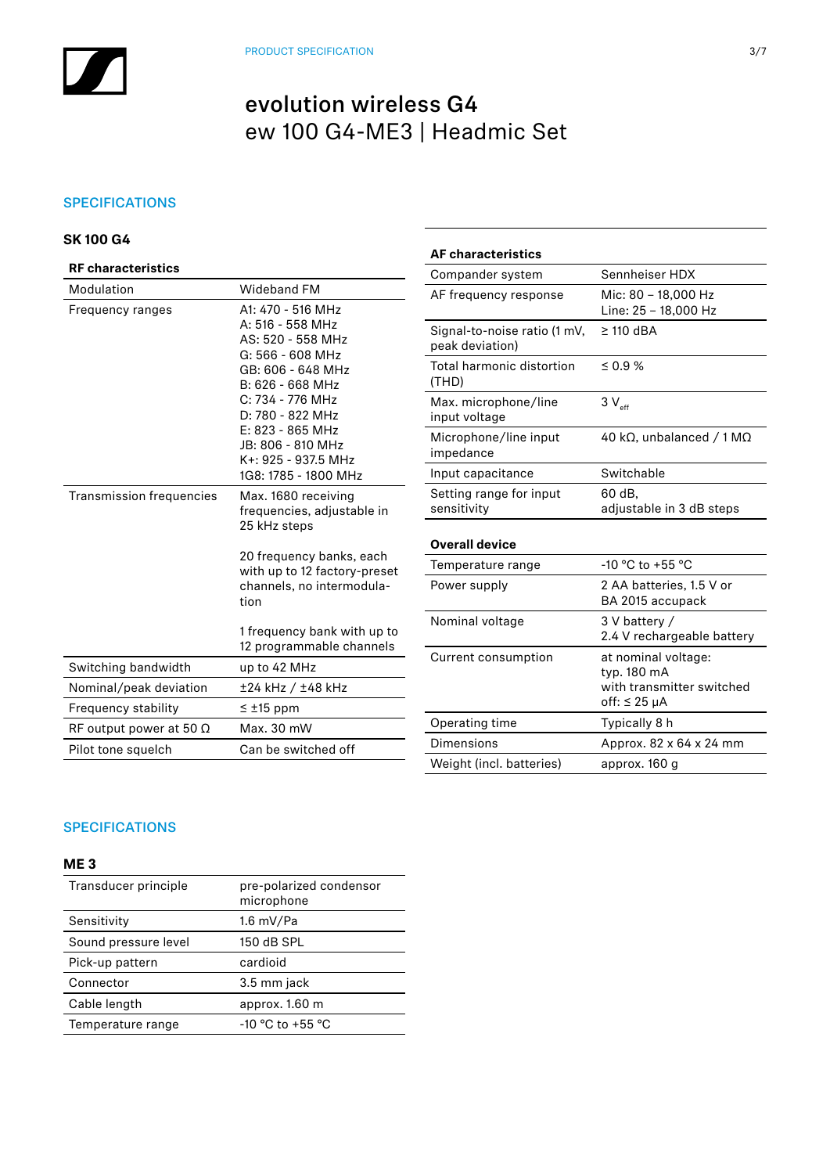## **SPECIFICATIONS**

## **SK 100 G4**

| <b>RF characteristics</b>       | Compander system                                                                                  |                                                 |  |
|---------------------------------|---------------------------------------------------------------------------------------------------|-------------------------------------------------|--|
| Modulation                      | <b>Wideband FM</b>                                                                                | AF frequency response                           |  |
| Frequency ranges                | A1: 470 - 516 MHz<br>A: 516 - 558 MHz<br>AS: 520 - 558 MHz                                        | Signal-to-noise ratio (1 mV,<br>peak deviation) |  |
|                                 | G: 566 - 608 MHz<br>GB: 606 - 648 MHz<br>B: 626 - 668 MHz<br>C: 734 - 776 MHz<br>D: 780 - 822 MHz | Total harmonic distortion<br>(THD)              |  |
|                                 |                                                                                                   | Max. microphone/line<br>input voltage           |  |
|                                 | $E: 823 - 865$ MHz<br>JB: 806 - 810 MHz<br>K+: 925 - 937.5 MHz                                    | Microphone/line input<br>impedance              |  |
|                                 | 1G8: 1785 - 1800 MHz                                                                              | Input capacitance                               |  |
| <b>Transmission frequencies</b> | Max. 1680 receiving<br>frequencies, adjustable in                                                 | Setting range for input<br>sensitivity          |  |
|                                 | 25 kHz steps                                                                                      | <b>Overall device</b>                           |  |
|                                 | 20 frequency banks, each<br>with up to 12 factory-preset                                          | Temperature range                               |  |
|                                 | channels, no intermodula-<br>tion                                                                 | Power supply                                    |  |
|                                 | 1 frequency bank with up to<br>12 programmable channels                                           | Nominal voltage                                 |  |
| Switching bandwidth             | up to 42 MHz                                                                                      | Current consumption                             |  |
| Nominal/peak deviation          | ±24 kHz / ±48 kHz                                                                                 |                                                 |  |
| Frequency stability             | $\leq \pm 15$ ppm                                                                                 |                                                 |  |
| RF output power at 50 $\Omega$  | Max. 30 mW                                                                                        | Operating time                                  |  |
| Pilot tone squelch              | Can be switched off                                                                               | Dimensions                                      |  |
|                                 |                                                                                                   | <i>Mainht (ing)</i> hattories)                  |  |

| <b>AF characteristics</b>                       |                                                                                         |  |  |
|-------------------------------------------------|-----------------------------------------------------------------------------------------|--|--|
| Compander system                                | Sennheiser HDX                                                                          |  |  |
| AF frequency response                           | Mic: 80 - 18,000 Hz<br>Line: 25 - 18,000 Hz                                             |  |  |
| Signal-to-noise ratio (1 mV,<br>peak deviation) | $\geq$ 110 dBA                                                                          |  |  |
| Total harmonic distortion<br>(THD)              | $0.9\%$                                                                                 |  |  |
| Max. microphone/line<br>input voltage           | $3V_{\text{eff}}$                                                                       |  |  |
| Microphone/line input<br>impedance              | 40 kΩ, unbalanced / 1 MΩ                                                                |  |  |
| Input capacitance                               | Switchable                                                                              |  |  |
| Setting range for input<br>sensitivity          | 60 dB,<br>adjustable in 3 dB steps                                                      |  |  |
| <b>Overall device</b>                           |                                                                                         |  |  |
| Temperature range                               | $-10$ °C to $+55$ °C                                                                    |  |  |
| Power supply                                    | 2 AA batteries, 1.5 V or<br>BA 2015 accupack                                            |  |  |
| Nominal voltage                                 | 3 V battery /<br>2.4 V rechargeable battery                                             |  |  |
| Current consumption                             | at nominal voltage:<br>typ. 180 mA<br>with transmitter switched<br>off: $\leq 25 \mu A$ |  |  |
| Operating time                                  | Typically 8 h                                                                           |  |  |
| Dimensions                                      | Approx. 82 x 64 x 24 mm                                                                 |  |  |
| Weight (incl. batteries)                        | approx. 160 g                                                                           |  |  |

## SPECIFICATIONS

## **ME 3**

| Transducer principle | pre-polarized condensor<br>microphone |
|----------------------|---------------------------------------|
| Sensitivity          | 1.6 mV/Pa                             |
| Sound pressure level | 150 dB SPL                            |
| Pick-up pattern      | cardioid                              |
| Connector            | 3.5 mm jack                           |
| Cable length         | approx. 1.60 m                        |
| Temperature range    | -10 °C to +55 °C                      |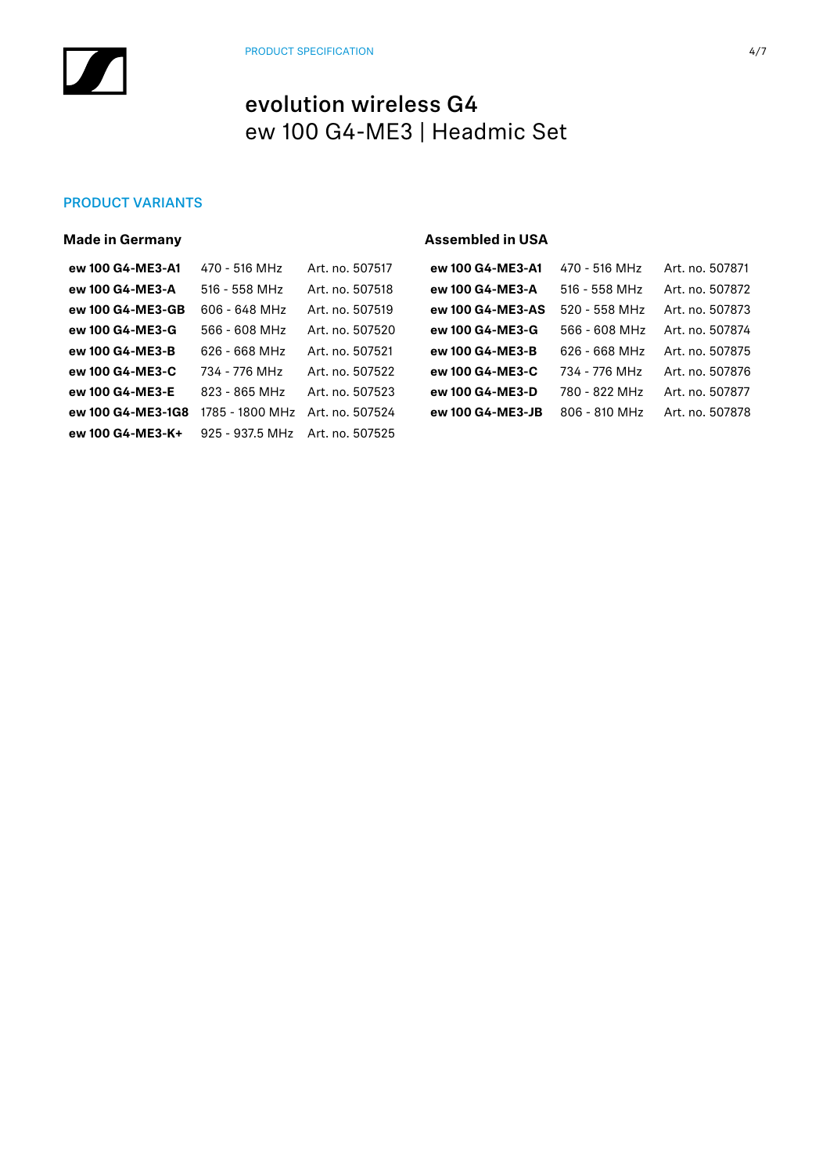### PRODUCT VARIANTS

| <b>Made in Germany</b> |                 |                 | <b>Assembled in USA</b> |                 |                 |
|------------------------|-----------------|-----------------|-------------------------|-----------------|-----------------|
| ew 100 G4-ME3-A1       | 470 - 516 MHz   | Art. no. 507517 | ew 100 G4-ME3-A1        | 470 - 516 MHz   | Art. no. 507871 |
| ew 100 G4-ME3-A        | $516 - 558$ MHz | Art. no. 507518 | ew 100 G4-ME3-A         | $516 - 558$ MHz | Art. no. 507872 |
| ew 100 G4-ME3-GB       | 606 - 648 MHz   | Art. no. 507519 | ew 100 G4-ME3-AS        | 520 - 558 MHz   | Art. no. 507873 |
| ew 100 G4-ME3-G        | 566 - 608 MHz   | Art. no. 507520 | ew 100 G4-ME3-G         | 566 - 608 MHz   | Art. no. 507874 |
| ew 100 G4-ME3-B        | 626 - 668 MHz   | Art. no. 507521 | ew 100 G4-ME3-B         | 626 - 668 MHz   | Art. no. 507875 |
| ew 100 G4-ME3-C        | 734 - 776 MHz   | Art. no. 507522 | ew 100 G4-ME3-C         | 734 - 776 MHz   | Art. no. 507876 |
| ew 100 G4-ME3-E        | 823 - 865 MHz   | Art. no. 507523 | ew 100 G4-ME3-D         | 780 - 822 MHz   | Art. no. 507877 |
| ew 100 G4-ME3-1G8      | 1785 - 1800 MHz | Art. no. 507524 | ew 100 G4-ME3-JB        | 806 - 810 MHz   | Art. no. 507878 |
| ew 100 G4-ME3-K+       | 925 - 937.5 MHz | Art. no. 507525 |                         |                 |                 |
|                        |                 |                 |                         |                 |                 |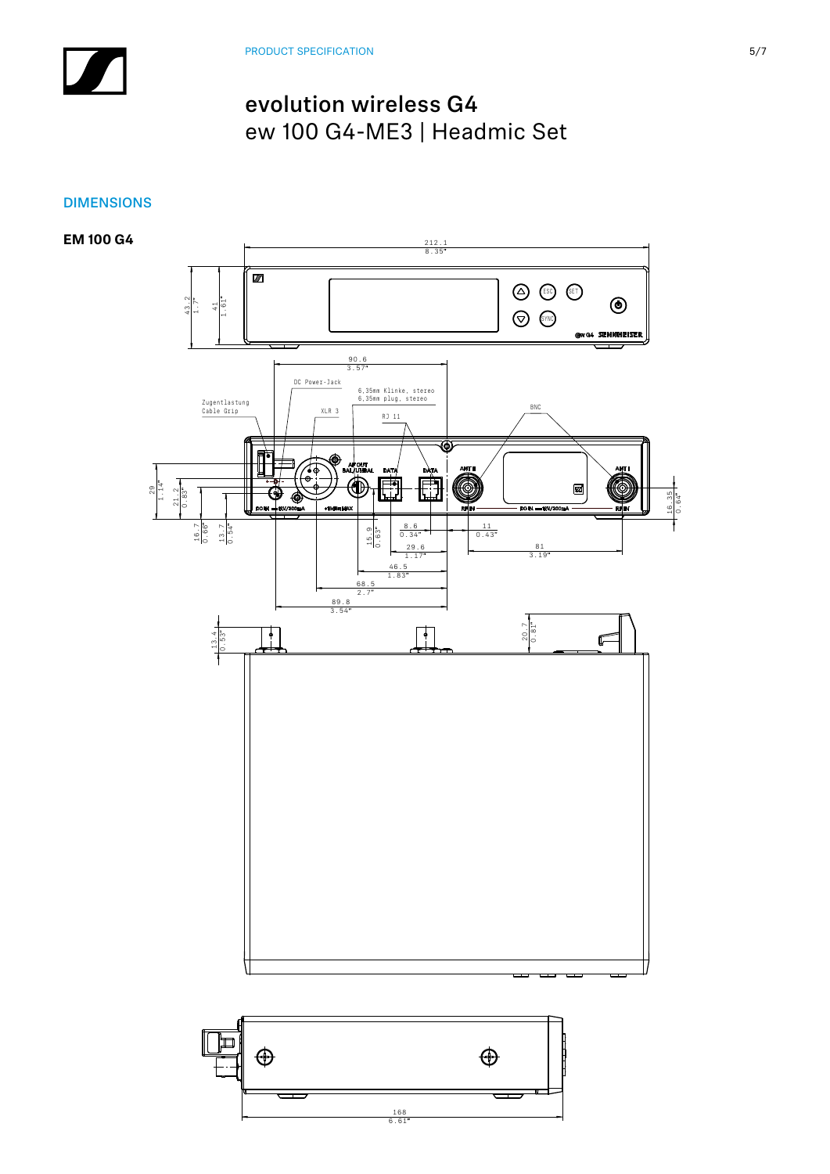## DIMENSIONS

**EM 100 G4**

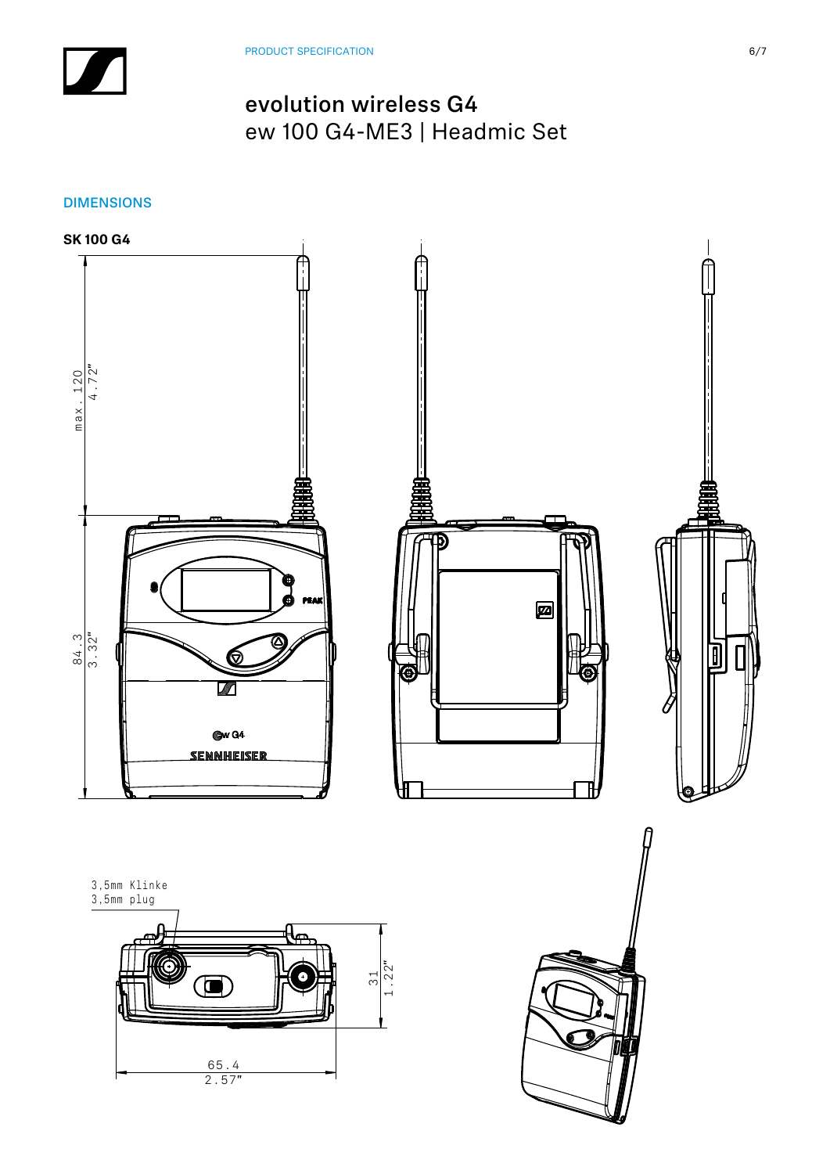DIMENSIONS